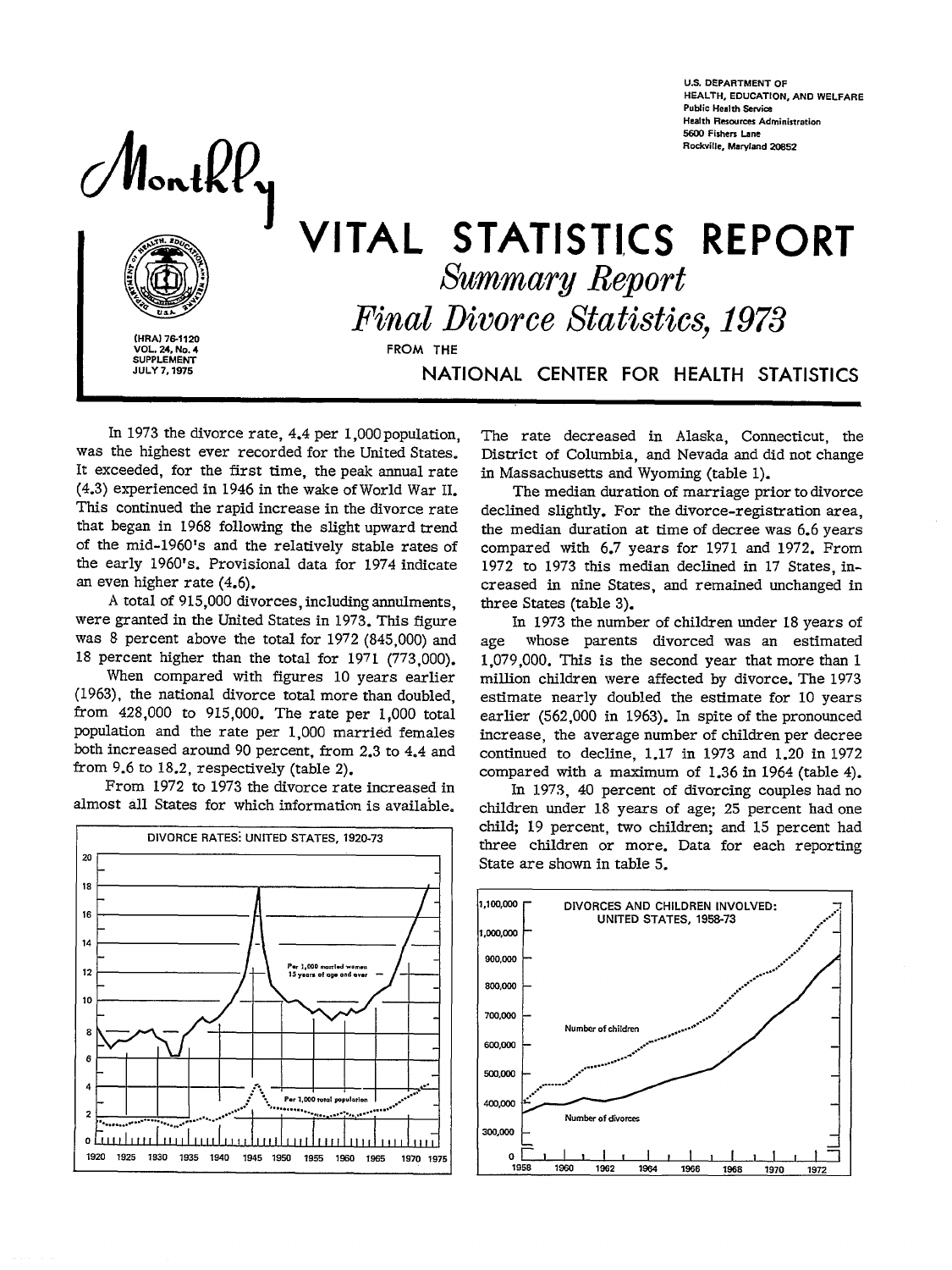Monthly



(HRA) 76-1120 VOL. 24, No. 4 **SUPPLEMENT JULY 7, 1975** 

# VITAL STATISTICS REPORT **Summary Report Final Divorce Statistics, 1973** FROM THE NATIONAL CENTER FOR HEALTH STATISTICS

In 1973 the divorce rate, 4.4 per 1,000 population. was the highest ever recorded for the United States. It exceeded, for the first time, the peak annual rate (4.3) experienced in 1946 in the wake of World War II. This continued the rapid increase in the divorce rate that began in 1968 following the slight upward trend of the mid-1960's and the relatively stable rates of the early 1960's. Provisional data for 1974 indicate an even higher rate  $(4,6)$ .

A total of 915,000 divorces, including annulments, were granted in the United States in 1973. This figure was 8 percent above the total for 1972 (845,000) and 18 percent higher than the total for 1971 (773,000).

When compared with figures 10 years earlier (1963), the national divorce total more than doubled, from 428,000 to 915,000. The rate per 1,000 total population and the rate per 1,000 married females both increased around 90 percent, from 2.3 to 4.4 and from  $9.6$  to 18.2, respectively (table 2).

From 1972 to 1973 the divorce rate increased in almost all States for which information is available.



The rate decreased in Alaska. Connecticut, the District of Columbia, and Nevada and did not change in Massachusetts and Wyoming (table 1).

The median duration of marriage prior to divorce declined slightly. For the divorce-registration area. the median duration at time of decree was 6.6 years compared with 6.7 years for 1971 and 1972. From 1972 to 1973 this median declined in 17 States, increased in nine States, and remained unchanged in three States (table 3).

In 1973 the number of children under 18 years of whose parents divorced was an estimated age 1,079,000. This is the second year that more than 1 million children were affected by divorce. The 1973 estimate nearly doubled the estimate for 10 years earlier (562,000 in 1963). In spite of the pronounced increase, the average number of children per decree continued to decline, 1.17 in 1973 and 1.20 in 1972 compared with a maximum of 1.36 in 1964 (table 4).

In 1973, 40 percent of divorcing couples had no children under 18 years of age; 25 percent had one child; 19 percent, two children; and 15 percent had three children or more. Data for each reporting State are shown in table 5.



**U.S. DEPARTMENT OF** HEALTH, EDUCATION, AND WEI FARE **Public Health Service Health Resources Administration** 5600 Fishers Lane **Rockville, Maryland 20852**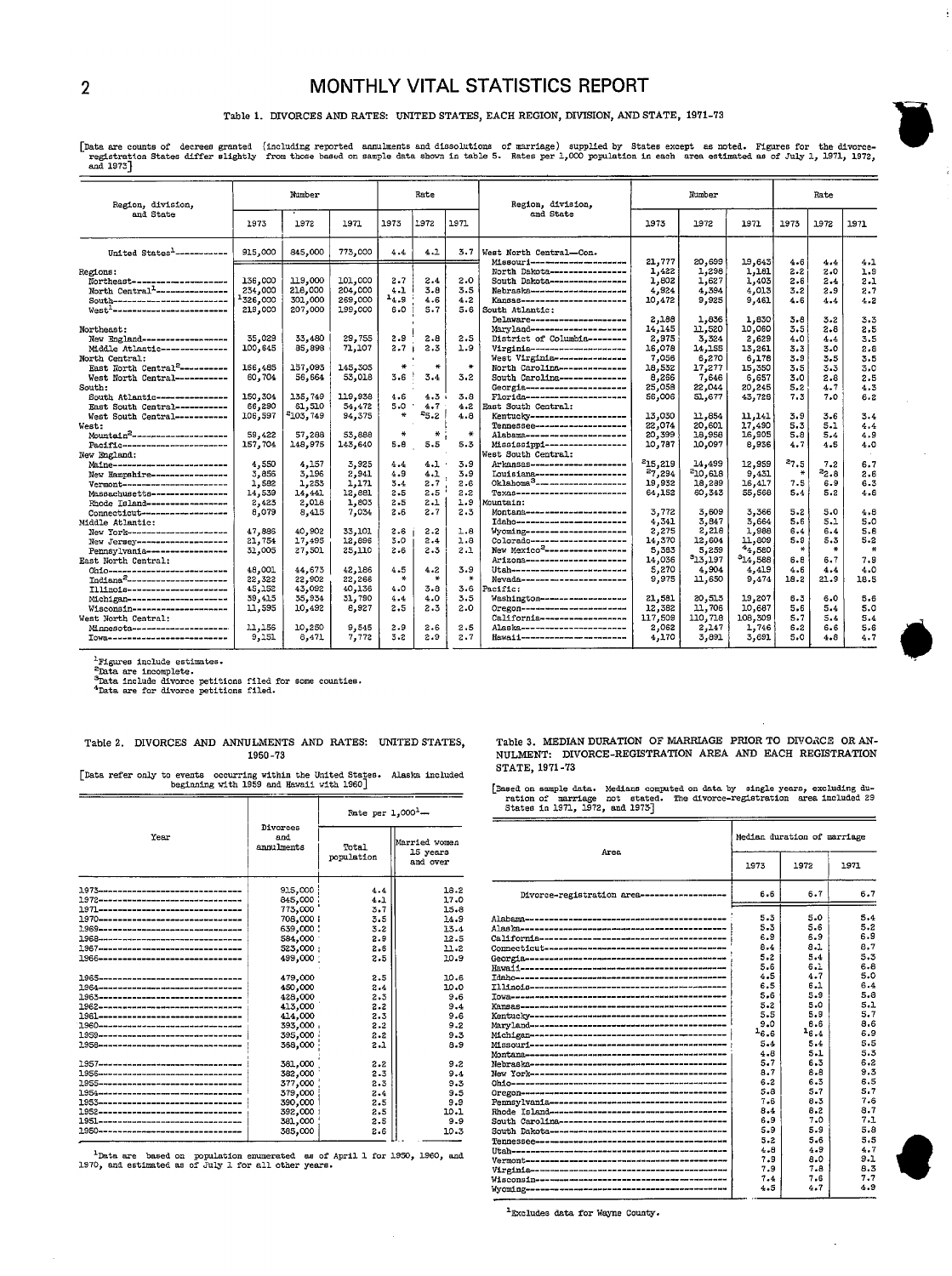### 2 MONTHLY VITAL STATISTICS REPORT

#### Table 1. DIVORCES AND RATES: UNITED STATES, EACH REGION, DIVISION, AND STATE, 1971-73

Data are counts of decrees granted (including reported annulments and dissolutions of marriage) supplied by States except as noted. Figures for the divorce-<br>registration States differ slightly from those based on sample da

| Region, division,                            |          | Number               |         |               | Rate          |              | Region, division,                                               |         | Number       |                     |               | Rate        |                |
|----------------------------------------------|----------|----------------------|---------|---------------|---------------|--------------|-----------------------------------------------------------------|---------|--------------|---------------------|---------------|-------------|----------------|
| and State                                    | 1973     | 1972                 | 1971    | 1973          | 1972          | 1971         | and State                                                       | 1973    | 1972         | 1971                | 1973          | 1972        | 1971           |
| United States <sup>1</sup> ------------      | 915,000  | 845,000              | 773,000 | 4.4           | 4.1           | 3.7          | West North Central-Con.                                         |         |              |                     |               |             |                |
|                                              |          |                      |         |               |               |              | Missouri----------------------                                  | 21,777  | 20,699       | 19,643              | 4.6           | 4.4         | 4.1            |
| Regions:                                     |          |                      |         |               |               |              | North Dakota----------------                                    | 1,422   | 1,298        | 1,181               | 2.2           | 2.0         | 1.9            |
| Northeast--------------------                | 136,000  | 119,000              | 101,000 | $2 - 7$       | 2.4           | 2.0          | South Dakota-----------------                                   | 1,802   | 1,627        | 1,403               | 2.6           | 2.4         | 2.1            |
| North Central <sup>1</sup> ----------------- | 234,000  | 218,000              | 204,000 | 4.1           | 3.8           | 3.5          | Nebraska----------------------                                  | 4.924   | 4,394        | 4,013               | 3.2           | 2.9         | 2.7            |
| South-------------------------               | 1326,000 | 301,000              | 269,000 | 14.9          | 4.6           | 4.2          | Kangas----------------------                                    | 10.472  | 9,925        | 9.461               | 4.6           | 4.4         | 4.2            |
| West <sup>1</sup> -------------------------- | 219,000  | 207,000              | 199,000 | $6 - 0$       | 5.7           | 5.6          | South Atlantic:                                                 |         |              |                     |               |             |                |
|                                              |          |                      |         |               |               |              | Delaware---------------------                                   | 2,188   | 1,836        | 1.630               | 3.8           | 3.2         | 3.3            |
| Northeast:                                   |          |                      |         |               |               |              | Maryland--------------------                                    | 14,145  | 11,520       | 10,060              | 3.5           | 2.8         | 2.5            |
| New England------------------                | 35,029   | 33,480               | 29,755  | 2.9           | 2.8           | 2.5          | District of Columbia --------                                   | 2,975   | 3.324        | 2,629               | 4.0           | 4.4         | 3.5            |
| Middle Atlantic --------------               | 100,645  | 85,898               | 71,107  | 2.7           | 2.3           | 1.9          | Virginia-----------------------                                 | 16.078  | 14,155       | 13,261              | 3.3           | 3.0         | 2.8            |
| North Central:                               |          |                      |         |               |               |              | West Virginia----------------                                   | 7,056   | 6,270        | 6,178               | 3.9           | 3.5         | 3.5            |
| East North Central <sup>2</sup> ----------   | 166,485  | 157,093              | 145,305 | 黃             | 长             | $\ast$       | North Carolina --------------                                   | 18,532  | 17,277       | 15,350              | 3.5           | 3.3         | 3,0            |
| West North Central-----------                | 60,704   | 56,664               | 53,018  | 3.6           | 3.4           | $3 - 2$      | South Carolina-------------                                     | 8,266   | 7,646        | 6,657               | 3.0           | 2.8         | 2.5            |
| South:                                       |          |                      |         |               |               |              | Georgia----------------------                                   | 25,058  | 22,044       | 20,245              | 5.2           | 4.7         | 4.3            |
| South Atlantic---------------                | 150,304  | 135,749              | 119,938 | 4.6           | 4.3           | 3.8          | Florida----------------------                                   | 56,006  | 51,677       | 43,728              | 7.3           | 7.0         | 6.2            |
| East South Central-----------                | 66,290   | 61,510               | 54,472  | 5.0           | 4.7           | 4.2          | East South Central:                                             |         |              |                     |               |             |                |
| West South Central-----------                | 106,597  | <sup>2</sup> 103,749 | 94,375  | ₩             | 25.2          | 4.8          | Kentuckv--------------------                                    | 13.030  | 11,854       | 11,141              | 3.9           | 3.6         | 3.4            |
| West:                                        |          |                      |         |               |               |              | Tennessee---------------------                                  | 22,074  | 20,601       | 17,490              | 5.3           | 5.1         | 4.4            |
| Mountain <sup>2</sup> ---------------------  | 59,422   | 57,288               | 53,888  | $\ast$        | $\frac{M}{N}$ | $\star$      | Alabawa----------------------                                   | 20,399  | 18,958       | 16,905              | 5.8           | 5.4         | 4.9            |
| Pacific------------------------              | 157,704  | 148,975              | 143,640 | 5.8           | 5.5           | 5.3          | Mississippi -----------------                                   | 10.787  | 10,097       | 8,936               | 4.7           | 4.5         | 4.0            |
| New England:                                 |          |                      |         |               |               |              | West South Central:                                             |         |              |                     |               |             |                |
|                                              |          |                      |         |               |               | 3.9          | Arkansas---------------------                                   | 215.219 | 14,499       |                     | 27.5          |             |                |
| Maine--------------------------              | 4,550    | 4.157                | 3,925   | 4.4<br>4.9    | 4.1           | 3.9          | Iouisiana--------------------                                   | 27,294  | $^{2}10.618$ | 12,959<br>9,431     |               | 7.2<br>22.8 | 6.7<br>2.6     |
| New Hampshire-----------------               | 3,856    | 3,196                | 2,941   |               | 4.1           | 2.6          | $0$ klahoma $3$ ---------------------                           |         | 18,289       |                     | 7.5           | 6.9         | 6.3            |
| Vermont-nasessessessessessesse               | 1,582    | 1,253                | 1,171   | 3.4           | 2.7           | 2.2          | Texas------------------------                                   | 19,932  |              | 16.417<br>55,568    | 5.4           | 5.2         | 4.8            |
| Massachusetts----------------                | 14,539   | 14,441               | 12,881  | 2.5           | 2.5           | 1.9          |                                                                 | 64,152  | 60,343       |                     |               |             |                |
| Rhode Island-----------------                | 2,423    | 2,018                | 1,803   | 2.5           | 2.1           |              | Mountain:                                                       |         |              |                     |               |             |                |
| Connecticut-------------------               | 8,079    | 8,415                | 7,034   | 2.6           | 2.7           | 2.3          | Montana----------------------                                   | 3,772   | 3,609        | 3,366               | 5.2<br>5.6    | 5.0         | 4.8            |
| Middle Atlantic:                             |          |                      |         |               |               |              | Idaho-------------------------                                  | 4,341   | 3.847        | 3.664               | 6.4           | $5 - 1$     | 5.0            |
| New York----------------------               | 47,886   | 40,902               | 33,101  | 2.6           | 2.2           | 1.8          | Wyoming----------------------<br>Colorado --------------------- | 2,275   | 2,218        | 1,988               |               | 6.4         | 5.8<br>$5 - 2$ |
| New Jersey---------------------              | 21,754   | 17,495               | 12,896  | 3.0           | 2.4           | 1.8          | New Mexico <sup>2</sup> -----------------                       | 14,370  | 12.604       | 11,809              | 5.9<br>$\ast$ | 5.3         | $\ast$         |
| Pennsylvania-----------------                | 31,005   | 27,501               | 25,110  | 2.6           | 2.3           | 2.1          |                                                                 | 5,363   | 5.259        | 44,580              |               | ₩           |                |
| East North Central:                          |          |                      |         |               |               |              | ArizonSecondonadoresentera                                      | 14,036  | 313.197      | <sup>3</sup> 14,588 | 6.8           | 6.7         | 7.9            |
| 0h1o--------------------------               | 48,001   | 44,673               | 42,186  | 4.5           | 4.2           | 3.9          | Utah------------------------                                    | 5,270   | 4,904        | 4,419               | 4.6           | 4.4         | 4.0            |
| Indiana <sup>2</sup> ----------------------- | 22,322   | 22,902               | 22,266  | $\frac{M}{N}$ | 圣             | $\pmb{\ast}$ | Nevada------------------------                                  | 9,975   | 11,650       | 9,474               | 18.2          | 21.9        | 18.5           |
| Illinois----------------------               | 45,152   | 43,092               | 40.136  | 4.0           | $3 - 8$       | 3.6          | Pacific:                                                        |         |              |                     |               |             |                |
| Michigan----------------------               | 39,415   | 35,934               | 31,790  | 4.4           | 4.0           | 3.5          | Washington------------------                                    | 21,581  | 20.513       | 19,207              | 6.3           | 6.0         | 5.6            |
| Wisconsin---------------------               | 11,595   | 10,492               | 8,927   | 2.5           | 2.3           | 2.0          | Огедоп-----------------------                                   | 12,382  | 11,706       | 10,687              | 5.6           | 5.4         | 5.0            |
| West North Central:                          |          |                      |         |               |               |              | California-------------------                                   | 117,509 | 110.718      | 108,309             | 5.7           | 5.4         | 5.4            |
| Minnesota---------------------               | 11,156   | 10,250               | 9,545   | 2.9           | 2.6           | 2.5          | Alaska------------------------                                  | 2,062   | 2,147        | 1,746               | $6 - 2$       | 6.6         | 5.6            |
| <b>TOW8---------------------------</b>       | 9.151    | 8.471                | 7,772   | 3.2           | 2.9           | 2.7          | Havaii----------------------                                    | 4.170   | 3,891        | 3,691               | 5.0           | 4.8         | 4.7            |

"Figures include estimates.<br><sup>S</sup>Data are incomplete.<br><sup>3</sup>Data include divorce petitions filed for some counties.<br>"Data are for divorce petitions filed.

|  |         |  | Table 2. DIVORCES AND ANNULMENTS AND RATES: UNITED STATES, |
|--|---------|--|------------------------------------------------------------|
|  | 1950-73 |  |                                                            |

[Data refer only to events occurring within the United States. Alaska include<br>beginning with 1959 and Hawaii with 1960]

|                                                |                               | Rate per 1,000 <sup>1</sup> - | ration of marriage not stated.<br>The divorc<br>States in 1971, 1972, and 1973] |                                                  |
|------------------------------------------------|-------------------------------|-------------------------------|---------------------------------------------------------------------------------|--------------------------------------------------|
| Year                                           | Divorces<br>and<br>annulments | Total<br>population           | Married women<br>15 years<br>and over                                           | Area                                             |
| 1973<br>1972---------------------------------- | 915,000<br>845,000            | 4.4<br>4.1                    | 18.2<br>17.0                                                                    | Divorce-registration area -----------------      |
| 1971---------------------------------          | 773,000                       | 3.7                           | 15.8                                                                            |                                                  |
| 1970--------------------------------           | 708,000                       | 3.5                           | 14.9                                                                            |                                                  |
| 1969----------------------------------         | 639,000                       | 3.2                           | 13.4                                                                            |                                                  |
| 1968----------------------------------         | 584,000                       | 2.9                           | 12.5                                                                            |                                                  |
|                                                | 523.000:                      | 2.6                           | 11.2                                                                            |                                                  |
| 1966---------------------------------          | 499,000                       | 2.5                           | 10.9                                                                            |                                                  |
|                                                |                               |                               |                                                                                 |                                                  |
| 1965---------------------------------          | 479,000                       | 2.5                           | 10.6                                                                            |                                                  |
| 1964-----------------------------------        | 450,000                       | 2.4                           | 10.0                                                                            |                                                  |
| 1963----------------------------------         | 428,000                       | 2.3                           | 9.6                                                                             |                                                  |
| 1962--------------------------------           | 413,000                       | 2.2                           | $9 - 4$                                                                         |                                                  |
| 1961---------------------------------          | 414,000                       | 2.3                           | 9.6                                                                             |                                                  |
| 1960---------------------------------          | 393.000                       | 2.2                           | 9.2                                                                             |                                                  |
| 1959-------------------------------            | 395,000                       | $2 - 2$                       | 9.3                                                                             |                                                  |
|                                                | 368,000                       | 2.1                           | 8.9                                                                             |                                                  |
|                                                |                               |                               |                                                                                 |                                                  |
| 1957----------------------------------         | 381,000                       | $2 - 2$                       | 9.2                                                                             |                                                  |
|                                                | 382,000                       | 2.3                           | 9.4                                                                             |                                                  |
| 1955---------------------------------          | 377,000                       | 2.3                           | 9.3                                                                             |                                                  |
| 1954-----------------------------------        | 379,000                       | 2.4                           | 9.5                                                                             |                                                  |
| 1953---------------------------------          | 390,000                       | 2.5                           | 9.9                                                                             |                                                  |
| 1952--------------------------------           | 392,000                       | 2.5                           | 10.1                                                                            |                                                  |
| 1951----------------------------------         | 381,000                       | 2.5                           | 9.9                                                                             | South Carolina---------------------------------- |
| 1950---------------------------------          | 385,000                       | 2.6                           | 10.3                                                                            |                                                  |
|                                                |                               |                               |                                                                                 |                                                  |

<sup>1</sup>Data are based on population enumerated as of April 1 for 1950, 1960, and 1970, and estimated as of July 1 for all other years.

Table 3. MEDIAN DURATION OF MARRIAGE PRIOR TO DIVORCE OR AN-NULMENT: DIVORCE-REGISTRATION AREA AND EACH REGISTRATION STATE, 1971-73

[Based on sample data. Medians computed on data by single years, excluding du-<br>ration of marriage not stated. The divorce-registration area included 29<br>States in 1971, 1972, and 1973]

|                                                   | Median duration of marriage |         |         |  |  |  |
|---------------------------------------------------|-----------------------------|---------|---------|--|--|--|
| Area                                              | 1973                        | 1972    | 1971    |  |  |  |
| Divorce-registration area ------------------      | 6.6                         | 6.7     | 6.7     |  |  |  |
|                                                   | 5.3                         | 5.0     | 5.4     |  |  |  |
|                                                   | 5.3                         | 5.6     | 5.2     |  |  |  |
|                                                   | 6.9                         | 6.9     | 6.9     |  |  |  |
|                                                   | 8.4                         | 8.1     | 8.7     |  |  |  |
|                                                   | 5.2                         | 5.4     | 5.3     |  |  |  |
|                                                   | 5.6                         | 6.1     | 6.8     |  |  |  |
|                                                   | 4.5                         | 4.7     | 5.0     |  |  |  |
|                                                   | 6.5                         | $6 - 1$ | 6.4     |  |  |  |
|                                                   | 5.6                         | 5.9     | 5.8     |  |  |  |
|                                                   | $5 - 2$                     | 5.0     | 5.1     |  |  |  |
|                                                   | 5.5                         | 5.9     | 5.7     |  |  |  |
|                                                   | 9.0                         | 6.6     | 8.6     |  |  |  |
|                                                   | 16.6                        | 16.4    | 6.9     |  |  |  |
|                                                   | 5.4                         | 5.4     | 5.5     |  |  |  |
|                                                   | 4.8                         | $5 - 1$ | 5.3     |  |  |  |
|                                                   | 5.7                         | 6.3     | $6 - 2$ |  |  |  |
|                                                   | 8.7                         | 8.8     | 9.3     |  |  |  |
|                                                   | $6 - 2$                     | $6 - 3$ | 6.5     |  |  |  |
|                                                   | 5.8                         | 5.7     | 5.7     |  |  |  |
|                                                   | 7.6                         | 8.3     | 7.6     |  |  |  |
|                                                   | 8.4                         | 8.2     | 8.7     |  |  |  |
| South Carolina ---------------------------------- | 6.9                         | 7.0     | 7.1     |  |  |  |
|                                                   | 5.9                         | 5.9     | 5.8     |  |  |  |
|                                                   | 5.2                         | 5.6     | 5.5     |  |  |  |
|                                                   | $4 - 8$                     | 4.9     | 4.7     |  |  |  |
|                                                   | 7.9                         | 8.0     | $9-1$   |  |  |  |
|                                                   | 7.9                         | 7.8     | 8.3     |  |  |  |
|                                                   | 7.4                         | 7.6     | 7.7     |  |  |  |
|                                                   | 4.5                         | 4.7     | 4.9     |  |  |  |
|                                                   |                             |         |         |  |  |  |

<sup>1</sup> Excludes data for Wayne County.

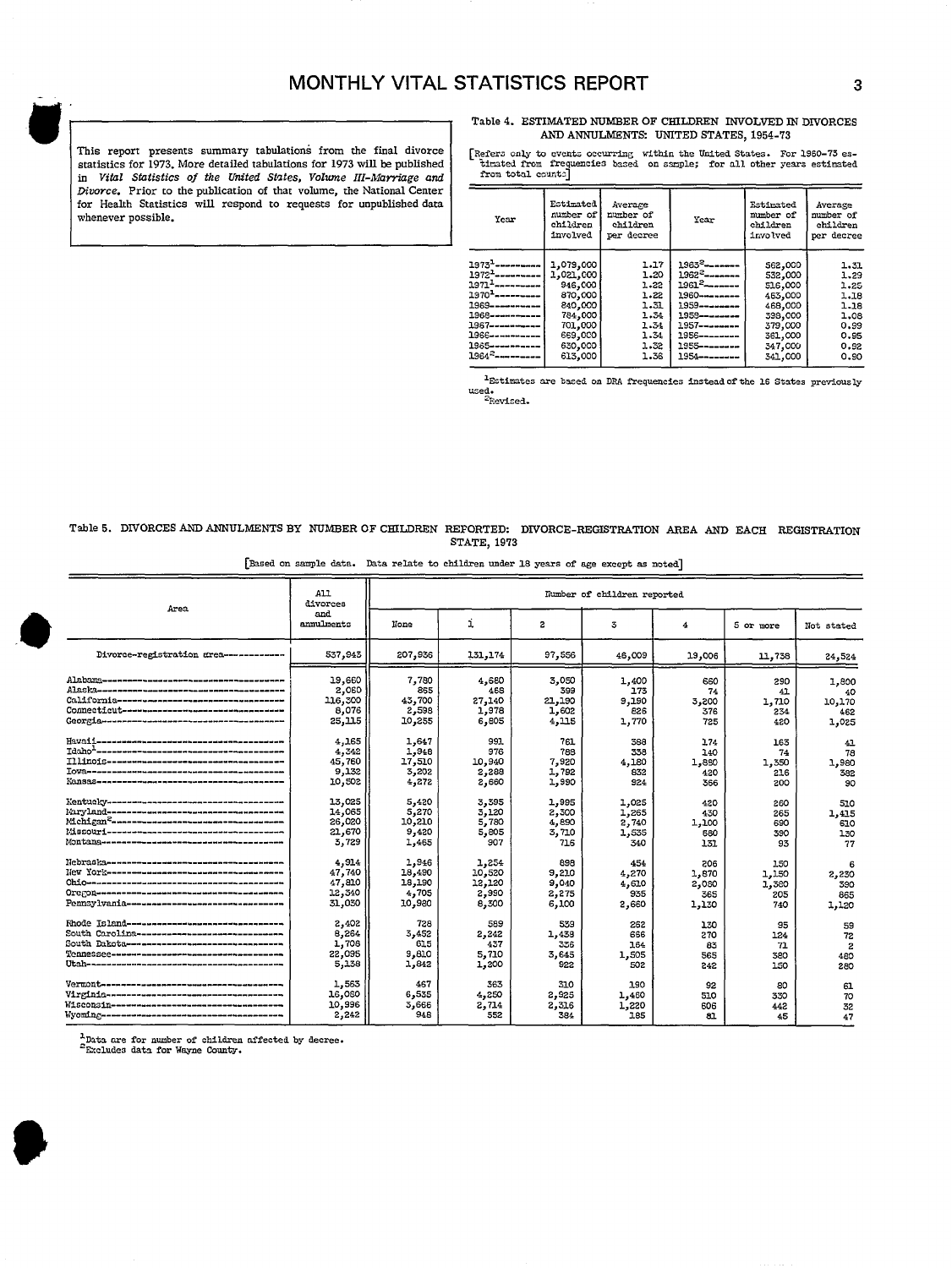This report presents summary tabulations from the final divorce statistics for 1973. More detailed tabulations for 1973 will be published in Vital Statistics of the United States, Volume III-Marriage and *Divorce*. Prior to the publication of that volume, the National Center for Health Statistics will respond to requests for unpublished data whenever possible.

Table 4. ESTIMATED NUMBER OF CHILDREN INVOLVED lN DIVORCES AND ANNULMENTS: UNITED STATES, 1954-73

Refer3 only to events occurring within the United States. For 1960-73 es-<br>- timated from frequencies bazed on sample; for all other years estimated<br>from total count:]

| Year                                                                                                                 | Estimated<br>number of<br>children<br>involved | Average<br>number of<br>children<br>per decree | Year                                                                        | Estimated<br>number of<br>children<br>involved | Average<br>number of<br>children<br>per decree |
|----------------------------------------------------------------------------------------------------------------------|------------------------------------------------|------------------------------------------------|-----------------------------------------------------------------------------|------------------------------------------------|------------------------------------------------|
| $19731$ ----------<br>$1972 - - - - - - - - - -$<br>$1971$ <sup>1</sup> ----------<br>$1970$ <sup>1</sup> ---------- | 1,079,000<br>1,021,000<br>946,000<br>870,000   | 1.17<br>1.20<br>1.22<br>1.22                   | $1963^2$ --------<br>$1962^2$ --------<br>$1961^2$ -------<br>1960--------- | 562,000<br>532,000<br>516,000<br>463,000       | 1.31<br>1.29<br>1.25<br>1.18                   |
| 1969----------                                                                                                       | 840,000                                        | 1.31                                           | 1959--------                                                                | 468,000                                        | 1.18                                           |
| 1968-----------<br>1967-----------                                                                                   | 784,000<br>701,000                             | 1.34<br>1.34                                   | 1958--------                                                                | 398,000<br>379,000                             | 1.08<br>0.99                                   |
| 1966-----------                                                                                                      | 669,000                                        | 1.34                                           |                                                                             | 361,000                                        | 0.95                                           |
| 1985----------                                                                                                       | 630,000                                        | 1.32                                           | 1955--------                                                                | 347,000                                        | 0.92                                           |
| 1964 <sup>2</sup> ----------                                                                                         | 613,000                                        | 1.36                                           | $1954 - - - - - - - -$                                                      | 341,000                                        | 0.90                                           |

"Estimates are based on DRA frequencies instead of the 16 States previously used.<br><sup>2</sup>Revised.

### Table 5. DIVORCES AND ANNULMENTS BY NUMBER OF CHILDREN REPORTED: DIVORCE-REGISTRATION AREA AND EACH REGISTRATION STATE, *1973*

[Based on sample data. Data relate to children under 18 years of age except as noted]

| Area                                                 | All<br>divorces                               | Number of children reported                  |                                             |                                         |                                       |                                       |                                     |                              |  |
|------------------------------------------------------|-----------------------------------------------|----------------------------------------------|---------------------------------------------|-----------------------------------------|---------------------------------------|---------------------------------------|-------------------------------------|------------------------------|--|
|                                                      | and<br>annulments                             | None                                         | i                                           | 2                                       | 3                                     | 4                                     | 5 or more                           | Not stated                   |  |
| Divorce-registration grea-----------                 | 537,943                                       | 207,936                                      | 131,174                                     | 97,556                                  | 46,009                                | 19,006                                | 11,738                              | 24,524                       |  |
|                                                      | 19,660                                        | 7,780                                        | 4,680                                       | 3,050                                   | 1,400                                 | 660                                   | 290                                 | 1,800                        |  |
|                                                      | 2,060                                         | 855                                          | 468                                         | 399                                     | 173                                   | 74                                    | 41                                  | 40                           |  |
| <u>California-----------------------------------</u> | 116,300                                       | 43,700                                       | 27,140                                      | 21.190                                  | 9,190                                 | 3,200                                 | 1,710                               | 10,170                       |  |
|                                                      | 8,076                                         | 2,598                                        | 1,978                                       | 1,602                                   | 826                                   | 376                                   | 234                                 | 462                          |  |
|                                                      | 25, 115                                       | 10,255                                       | 6,805                                       | 4.115                                   | 1,770                                 | 725                                   | 420                                 | 1,025                        |  |
|                                                      | 4,165                                         | 1,647                                        | 991                                         | 761                                     | 388                                   | 174                                   | 163                                 | 41                           |  |
|                                                      | 4,342                                         | 1,948                                        | 976                                         | 788                                     | 338                                   | 140                                   | 74                                  | 78                           |  |
|                                                      | 45,760                                        | 17,510                                       | 10,940                                      | 7,920                                   | 4,180                                 | 1,880                                 | 1,350                               | 1.980                        |  |
|                                                      | 9,132                                         | 3,202                                        | 2,288                                       | 1.792                                   | 832                                   | 420                                   | 216                                 | 382                          |  |
|                                                      | 10,502                                        | 4,272                                        | 2,660                                       | 1,990                                   | 924                                   | 366                                   | 200                                 | 90                           |  |
|                                                      | 13.025                                        | 5,420                                        | 3,395                                       | 1,995                                   | 1,025                                 | 420                                   | 260                                 | 510                          |  |
|                                                      | 14,065                                        | 5,270                                        | 3,120                                       | 2,300                                   | 1,265                                 | 430                                   | 265                                 | 1,415                        |  |
| Mchigan <sup>2</sup> ~~~~~~~~~~~~~~~~~~~~~~~~~~~~~~~ | 26,020                                        | 10,210                                       | 5,780                                       | 4,890                                   | 2,740                                 | 1,100                                 | 690                                 | 610                          |  |
|                                                      | 21,670                                        | 9,420                                        | 5,805                                       | 3,710                                   | 1,535                                 | 660                                   | 390                                 | 130                          |  |
|                                                      | 3,729                                         | 1,465                                        | 907                                         | 716                                     | 340                                   | 131                                   | 93                                  | 77                           |  |
| Pennsylvania--------------------------------         | 4,914<br>47,740<br>47,810<br>12,340<br>31,030 | 1,946<br>18,490<br>18,190<br>4,705<br>10,980 | 1.254<br>10,520<br>12,120<br>2,990<br>8,300 | 898<br>9,210<br>9,040<br>2,275<br>6,100 | 454<br>4,270<br>4,610<br>935<br>2,660 | 206<br>1,870<br>2,030<br>365<br>1,130 | 150<br>1,150<br>1,380<br>205<br>740 | 2,230<br>390<br>865<br>1,120 |  |
| Rhode Tsland-------------------------------          | 2,402                                         | 728                                          | 589                                         | 539                                     | 262                                   | 130                                   | 95                                  | 59                           |  |
| South Carolina-----------------------------          | 8,264                                         | 3,452                                        | 2.242                                       | 1,438                                   | 656                                   | 270                                   | 124                                 | 72                           |  |
| South Dakota ------------------------------          | 1,708                                         | 615                                          | 437                                         | 336                                     | 164                                   | 83                                    | 71                                  | $\overline{z}$               |  |
| Tennessee-www.nnnnnnnnnnnnnnnnnnnnnnnnn              | 22,095                                        | 9,810                                        | 5,710                                       | 3.645                                   | 1,505                                 | 565                                   | 380                                 | 480                          |  |
| Utah-saassaannaanaassannanaanaananaanaanan           | 5,138                                         | 1,842                                        | 1,200                                       | 922                                     | 502                                   | 242                                   | 150                                 | 280                          |  |
|                                                      | 1,563                                         | 467                                          | 363                                         | 310                                     | 190                                   | 92                                    | 80                                  | 61                           |  |
|                                                      | 16,080                                        | 6,535                                        | 4,250                                       | 2,925                                   | 1,460                                 | 510                                   | 330                                 | 70                           |  |
|                                                      | 10,996                                        | 3,666                                        | 2,714                                       | 2,316                                   | 1,220                                 | 606                                   | 442                                 | 32                           |  |
|                                                      | 2,242                                         | 948                                          | 552                                         | 384                                     | 185                                   | 81                                    | 45                                  | 47                           |  |

~Data are for number of children affected by decree.<br><sup>2</sup>Excludes data for Wayne County.